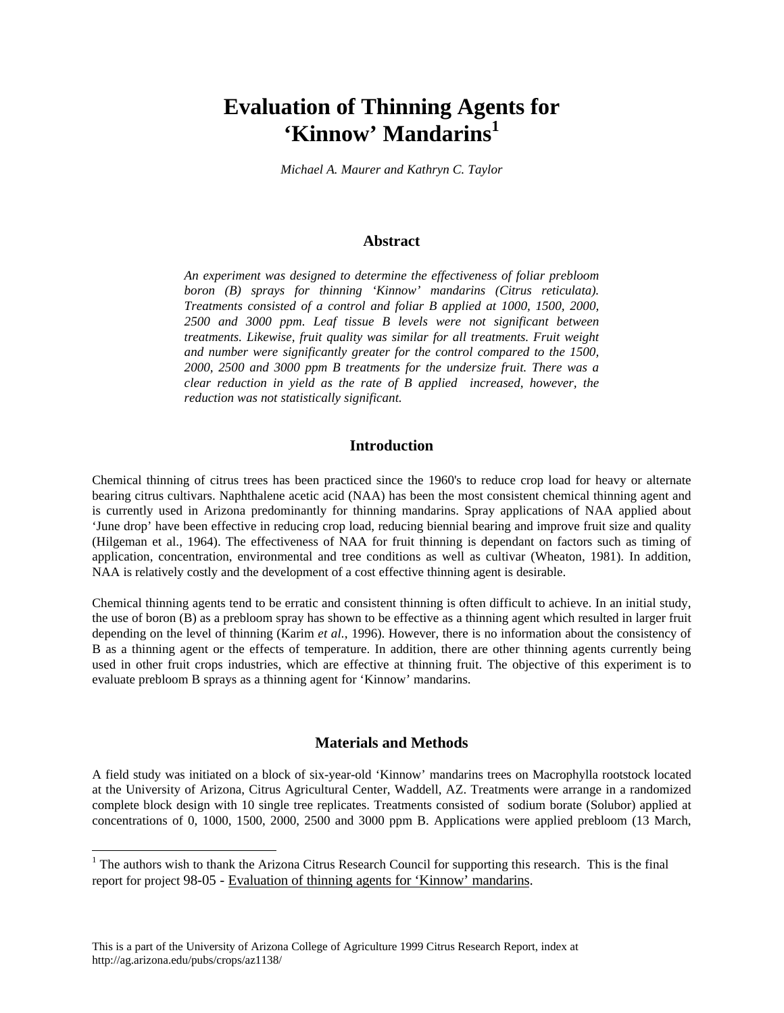# **Evaluation of Thinning Agents for 'Kinnow' Mandarins1**

*Michael A. Maurer and Kathryn C. Taylor*

# **Abstract**

*An experiment was designed to determine the effectiveness of foliar prebloom boron (B) sprays for thinning 'Kinnow' mandarins (Citrus reticulata). Treatments consisted of a control and foliar B applied at 1000, 1500, 2000, 2500 and 3000 ppm. Leaf tissue B levels were not significant between treatments. Likewise, fruit quality was similar for all treatments. Fruit weight and number were significantly greater for the control compared to the 1500, 2000, 2500 and 3000 ppm B treatments for the undersize fruit. There was a clear reduction in yield as the rate of B applied increased, however, the reduction was not statistically significant.*

# **Introduction**

Chemical thinning of citrus trees has been practiced since the 1960's to reduce crop load for heavy or alternate bearing citrus cultivars. Naphthalene acetic acid (NAA) has been the most consistent chemical thinning agent and is currently used in Arizona predominantly for thinning mandarins. Spray applications of NAA applied about 'June drop' have been effective in reducing crop load, reducing biennial bearing and improve fruit size and quality (Hilgeman et al., 1964). The effectiveness of NAA for fruit thinning is dependant on factors such as timing of application, concentration, environmental and tree conditions as well as cultivar (Wheaton, 1981). In addition, NAA is relatively costly and the development of a cost effective thinning agent is desirable.

Chemical thinning agents tend to be erratic and consistent thinning is often difficult to achieve. In an initial study, the use of boron (B) as a prebloom spray has shown to be effective as a thinning agent which resulted in larger fruit depending on the level of thinning (Karim *et al.*, 1996). However, there is no information about the consistency of B as a thinning agent or the effects of temperature. In addition, there are other thinning agents currently being used in other fruit crops industries, which are effective at thinning fruit. The objective of this experiment is to evaluate prebloom B sprays as a thinning agent for 'Kinnow' mandarins.

#### **Materials and Methods**

A field study was initiated on a block of six-year-old 'Kinnow' mandarins trees on Macrophylla rootstock located at the University of Arizona, Citrus Agricultural Center, Waddell, AZ. Treatments were arrange in a randomized complete block design with 10 single tree replicates. Treatments consisted of sodium borate (Solubor) applied at concentrations of 0, 1000, 1500, 2000, 2500 and 3000 ppm B. Applications were applied prebloom (13 March,

 $\overline{a}$ 

<sup>&</sup>lt;sup>1</sup> The authors wish to thank the Arizona Citrus Research Council for supporting this research. This is the final report for project 98-05 - Evaluation of thinning agents for 'Kinnow' mandarins.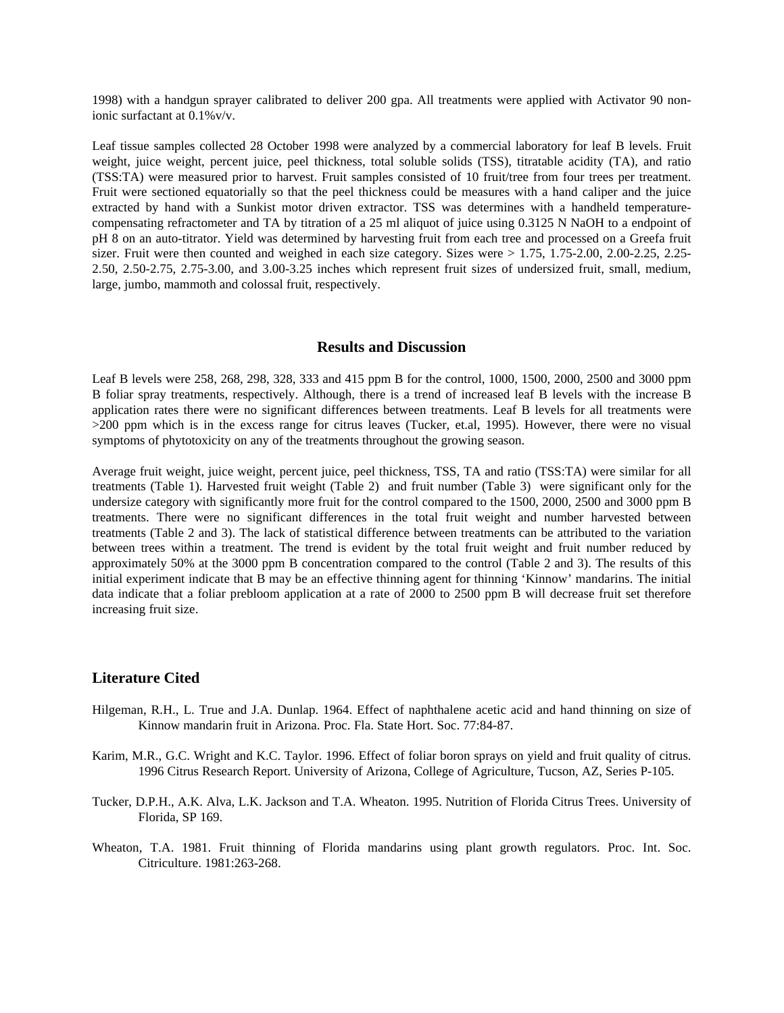1998) with a handgun sprayer calibrated to deliver 200 gpa. All treatments were applied with Activator 90 nonionic surfactant at 0.1%v/v.

Leaf tissue samples collected 28 October 1998 were analyzed by a commercial laboratory for leaf B levels. Fruit weight, juice weight, percent juice, peel thickness, total soluble solids (TSS), titratable acidity (TA), and ratio (TSS:TA) were measured prior to harvest. Fruit samples consisted of 10 fruit/tree from four trees per treatment. Fruit were sectioned equatorially so that the peel thickness could be measures with a hand caliper and the juice extracted by hand with a Sunkist motor driven extractor. TSS was determines with a handheld temperaturecompensating refractometer and TA by titration of a 25 ml aliquot of juice using 0.3125 N NaOH to a endpoint of pH 8 on an auto-titrator. Yield was determined by harvesting fruit from each tree and processed on a Greefa fruit sizer. Fruit were then counted and weighed in each size category. Sizes were  $> 1.75$ , 1.75-2.00, 2.00-2.25, 2.25-2.50, 2.50-2.75, 2.75-3.00, and 3.00-3.25 inches which represent fruit sizes of undersized fruit, small, medium, large, jumbo, mammoth and colossal fruit, respectively.

## **Results and Discussion**

Leaf B levels were 258, 268, 298, 328, 333 and 415 ppm B for the control, 1000, 1500, 2000, 2500 and 3000 ppm B foliar spray treatments, respectively. Although, there is a trend of increased leaf B levels with the increase B application rates there were no significant differences between treatments. Leaf B levels for all treatments were >200 ppm which is in the excess range for citrus leaves (Tucker, et.al, 1995). However, there were no visual symptoms of phytotoxicity on any of the treatments throughout the growing season.

Average fruit weight, juice weight, percent juice, peel thickness, TSS, TA and ratio (TSS:TA) were similar for all treatments (Table 1). Harvested fruit weight (Table 2) and fruit number (Table 3) were significant only for the undersize category with significantly more fruit for the control compared to the 1500, 2000, 2500 and 3000 ppm B treatments. There were no significant differences in the total fruit weight and number harvested between treatments (Table 2 and 3). The lack of statistical difference between treatments can be attributed to the variation between trees within a treatment. The trend is evident by the total fruit weight and fruit number reduced by approximately 50% at the 3000 ppm B concentration compared to the control (Table 2 and 3). The results of this initial experiment indicate that B may be an effective thinning agent for thinning 'Kinnow' mandarins. The initial data indicate that a foliar prebloom application at a rate of 2000 to 2500 ppm B will decrease fruit set therefore increasing fruit size.

## **Literature Cited**

- Hilgeman, R.H., L. True and J.A. Dunlap. 1964. Effect of naphthalene acetic acid and hand thinning on size of Kinnow mandarin fruit in Arizona. Proc. Fla. State Hort. Soc. 77:84-87.
- Karim, M.R., G.C. Wright and K.C. Taylor. 1996. Effect of foliar boron sprays on yield and fruit quality of citrus. 1996 Citrus Research Report. University of Arizona, College of Agriculture, Tucson, AZ, Series P-105.
- Tucker, D.P.H., A.K. Alva, L.K. Jackson and T.A. Wheaton. 1995. Nutrition of Florida Citrus Trees. University of Florida, SP 169.
- Wheaton, T.A. 1981. Fruit thinning of Florida mandarins using plant growth regulators. Proc. Int. Soc. Citriculture. 1981:263-268.